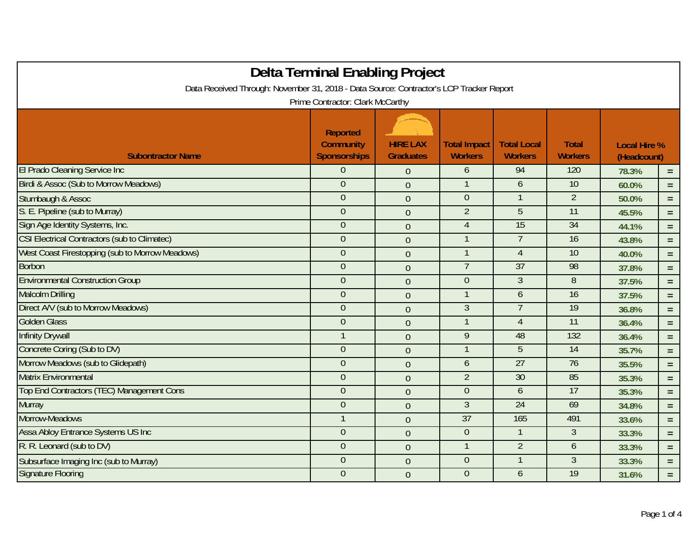|                                                                                         | <b>Delta Terminal Enabling Project</b>              |                                     |                                       |                                      |                                |                                    |          |  |  |
|-----------------------------------------------------------------------------------------|-----------------------------------------------------|-------------------------------------|---------------------------------------|--------------------------------------|--------------------------------|------------------------------------|----------|--|--|
| Data Received Through: November 31, 2018 - Data Source: Contractor's LCP Tracker Report |                                                     |                                     |                                       |                                      |                                |                                    |          |  |  |
| Prime Contractor: Clark McCarthy                                                        |                                                     |                                     |                                       |                                      |                                |                                    |          |  |  |
| <b>Subontractor Name</b>                                                                | Reported<br><b>Community</b><br><b>Sponsorships</b> | <b>HIRE LAX</b><br><b>Graduates</b> | <b>Total Impact</b><br><b>Workers</b> | <b>Total Local</b><br><b>Workers</b> | <b>Total</b><br><b>Workers</b> | <b>Local Hire %</b><br>(Headcount) |          |  |  |
| <b>El Prado Cleaning Service Inc</b>                                                    | $\theta$                                            | $\overline{0}$                      | 6                                     | 94                                   | 120                            | 78.3%                              | $=$      |  |  |
| Birdi & Assoc (Sub to Morrow Meadows)                                                   | $\theta$                                            | $\overline{0}$                      | $\mathbf{1}$                          | 6                                    | 10                             | 60.0%                              | $=$      |  |  |
| Stumbaugh & Assoc                                                                       | $\theta$                                            | $\mathbf{0}$                        | $\boldsymbol{0}$                      |                                      | $\overline{2}$                 | 50.0%                              | $=$      |  |  |
| S. E. Pipeline (sub to Murray)                                                          | $\overline{0}$                                      | $\overline{0}$                      | $\overline{2}$                        | $\overline{5}$                       | $\overline{11}$                | 45.5%                              | $=$ $\,$ |  |  |
| Sign Age Identity Systems, Inc.                                                         | $\theta$                                            | $\overline{0}$                      | $\overline{4}$                        | 15                                   | $\overline{34}$                | 44.1%                              | $=$      |  |  |
| <b>CSI Electrical Contractors (sub to Climatec)</b>                                     | $\theta$                                            | $\overline{0}$                      | $\mathbf{1}$                          | $\overline{7}$                       | 16                             | 43.8%                              | $=$      |  |  |
| West Coast Firestopping (sub to Morrow Meadows)                                         | $\theta$                                            | $\overline{0}$                      |                                       | $\overline{4}$                       | 10                             | 40.0%                              | $=$      |  |  |
| <b>Borbon</b>                                                                           | $\boldsymbol{0}$                                    | $\overline{0}$                      | $\overline{7}$                        | 37                                   | 98                             | 37.8%                              | $=$      |  |  |
| <b>Environmental Construction Group</b>                                                 | $\theta$                                            | $\overline{0}$                      | $\theta$                              | $\overline{3}$                       | 8                              | 37.5%                              | $=$      |  |  |
| <b>Malcolm Drilling</b>                                                                 | $\theta$                                            | $\overline{0}$                      | $\mathbf{1}$                          | 6                                    | 16                             | 37.5%                              | $=$      |  |  |
| Direct A/V (sub to Morrow Meadows)                                                      | $\theta$                                            | $\overline{0}$                      | $\overline{3}$                        | $\overline{7}$                       | 19                             | 36.8%                              | $\equiv$ |  |  |
| <b>Golden Glass</b>                                                                     | $\theta$                                            | $\overline{0}$                      |                                       | $\overline{4}$                       | 11                             | 36.4%                              | $=$      |  |  |
| <b>Infinity Drywall</b>                                                                 |                                                     | $\overline{0}$                      | 9                                     | 48                                   | 132                            | 36.4%                              | $=$      |  |  |
| Concrete Coring (Sub to DV)                                                             | $\theta$                                            | $\overline{0}$                      | $\mathbf{1}$                          | 5                                    | 14                             | 35.7%                              | $=$      |  |  |
| Morrow Meadows (sub to Glidepath)                                                       | $\theta$                                            | $\overline{0}$                      | 6                                     | $\overline{27}$                      | 76                             | 35.5%                              | $=$      |  |  |
| <b>Matrix Environmental</b>                                                             | $\theta$                                            | $\overline{0}$                      | $\overline{2}$                        | 30                                   | 85                             | 35.3%                              | $=$      |  |  |
| Top End Contractors (TEC) Management Cons                                               | $\boldsymbol{0}$                                    | $\overline{0}$                      | $\theta$                              | 6                                    | 17                             | 35.3%                              | $=$      |  |  |
| <b>Murray</b>                                                                           | $\theta$                                            | $\overline{0}$                      | $\overline{3}$                        | 24                                   | 69                             | 34.8%                              | $=$      |  |  |
| Morrow-Meadows                                                                          |                                                     | $\overline{0}$                      | 37                                    | 165                                  | 491                            | 33.6%                              | $=$      |  |  |
| Assa Abloy Entrance Systems US Inc                                                      | $\overline{0}$                                      | $\overline{0}$                      | $\overline{0}$                        | $\mathbf{1}$                         | $\overline{3}$                 | 33.3%                              | $=$      |  |  |
| R. R. Leonard (sub to DV)                                                               | $\boldsymbol{0}$                                    | $\overline{0}$                      |                                       | $\overline{2}$                       | 6                              | 33.3%                              | $=$      |  |  |
| Subsurface Imaging Inc (sub to Murray)                                                  | $\theta$                                            | $\overline{0}$                      | $\overline{0}$                        |                                      | 3                              | 33.3%                              | $=$      |  |  |
| <b>Signature Flooring</b>                                                               | $\theta$                                            | $\overline{0}$                      | $\overline{0}$                        | 6                                    | $\overline{19}$                | 31.6%                              | $=$      |  |  |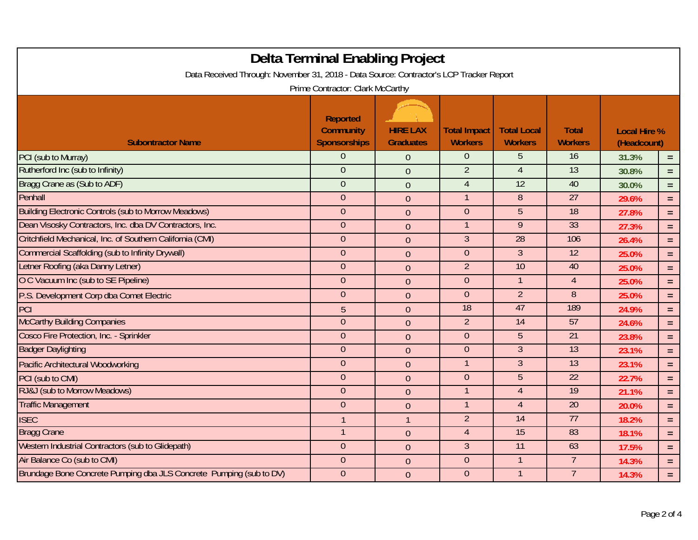| Delta Terminal Enabling Project<br>Data Received Through: November 31, 2018 - Data Source: Contractor's LCP Tracker Report<br>Prime Contractor: Clark McCarthy |                                                            |                                     |                                       |                                      |                                |                                    |          |  |
|----------------------------------------------------------------------------------------------------------------------------------------------------------------|------------------------------------------------------------|-------------------------------------|---------------------------------------|--------------------------------------|--------------------------------|------------------------------------|----------|--|
| <b>Subontractor Name</b>                                                                                                                                       | <b>Reported</b><br><b>Community</b><br><b>Sponsorships</b> | <b>HIRE LAX</b><br><b>Graduates</b> | <b>Total Impact</b><br><b>Workers</b> | <b>Total Local</b><br><b>Workers</b> | <b>Total</b><br><b>Workers</b> | <b>Local Hire %</b><br>(Headcount) |          |  |
| PCI (sub to Murray)                                                                                                                                            | $\overline{0}$                                             | $\overline{0}$                      | $\overline{0}$                        | 5                                    | 16                             | 31.3%                              | $=$      |  |
| Rutherford Inc (sub to Infinity)                                                                                                                               | $\overline{0}$                                             | $\overline{0}$                      | $\overline{2}$                        | $\overline{4}$                       | $\overline{13}$                | 30.8%                              | $=$      |  |
| Bragg Crane as (Sub to ADF)                                                                                                                                    | $\overline{0}$                                             | $\overline{0}$                      | $\overline{4}$                        | $\overline{12}$                      | 40                             | 30.0%                              | $=$      |  |
| Penhall                                                                                                                                                        | $\theta$                                                   | $\boldsymbol{0}$                    |                                       | 8                                    | $\overline{27}$                | 29.6%                              | $\equiv$ |  |
| <b>Building Electronic Controls (sub to Morrow Meadows)</b>                                                                                                    | $\theta$                                                   | $\overline{0}$                      | $\theta$                              | 5                                    | 18                             | 27.8%                              | $=$      |  |
| Dean Visosky Contractors, Inc. dba DV Contractors, Inc.                                                                                                        | $\overline{0}$                                             | $\overline{0}$                      | $\mathbf{1}$                          | $\overline{9}$                       | 33                             | 27.3%                              | $=$      |  |
| Critchfield Mechanical, Inc. of Southern California (CMI)                                                                                                      | $\overline{0}$                                             | $\theta$                            | $\overline{3}$                        | $\overline{28}$                      | 106                            | 26.4%                              | $=$      |  |
| <b>Commercial Scaffolding (sub to Infinity Drywall)</b>                                                                                                        | $\overline{0}$                                             | $\overline{0}$                      | $\theta$                              | $\mathfrak{Z}$                       | $\overline{12}$                | 25.0%                              | $=$      |  |
| Letner Roofing (aka Danny Letner)                                                                                                                              | $\mathbf{0}$                                               | $\overline{0}$                      | $\overline{2}$                        | 10                                   | 40                             | 25.0%                              | $=$      |  |
| O C Vacuum Inc (sub to SE Pipeline)                                                                                                                            | $\theta$                                                   | $\overline{0}$                      | $\theta$                              | $\mathbf 1$                          | $\overline{4}$                 | 25.0%                              | $=$      |  |
| P.S. Development Corp dba Comet Electric                                                                                                                       | $\mathbf{0}$                                               | $\overline{0}$                      | $\theta$                              | $\overline{2}$                       | 8                              | 25.0%                              | $\equiv$ |  |
| PCI                                                                                                                                                            | 5                                                          | $\overline{0}$                      | 18                                    | 47                                   | 189                            | 24.9%                              | $=$      |  |
| <b>McCarthy Building Companies</b>                                                                                                                             | $\overline{0}$                                             | $\overline{0}$                      | $\overline{2}$                        | $\overline{14}$                      | $\overline{57}$                | 24.6%                              | $=$      |  |
| Cosco Fire Protection, Inc. - Sprinkler                                                                                                                        | $\overline{0}$                                             | $\overline{0}$                      | $\theta$                              | 5                                    | $\overline{21}$                | 23.8%                              | $=$      |  |
| <b>Badger Daylighting</b>                                                                                                                                      | $\theta$                                                   | $\mathbf 0$                         | $\theta$                              | $\mathfrak{Z}$                       | 13                             | 23.1%                              | $=$      |  |
| Pacific Architectural Woodworking                                                                                                                              | $\overline{0}$                                             | $\overline{0}$                      | $\mathbf{1}$                          | $\mathfrak{Z}$                       | $\overline{13}$                | 23.1%                              | $=$      |  |
| PCI (sub to CMI)                                                                                                                                               | $\overline{0}$                                             | $\overline{0}$                      | $\overline{0}$                        | $\overline{5}$                       | 22                             | 22.7%                              | $=$      |  |
| RJ&J (sub to Morrow Meadows)                                                                                                                                   | $\overline{0}$                                             | $\overline{0}$                      |                                       | $\overline{4}$                       | 19                             | 21.1%                              | $=$      |  |
| <b>Traffic Management</b>                                                                                                                                      | $\theta$                                                   | $\overline{0}$                      |                                       | $\overline{4}$                       | 20                             | 20.0%                              | $=$      |  |
| <b>ISEC</b>                                                                                                                                                    |                                                            | $\mathbf{1}$                        | $\overline{2}$                        | 14                                   | 77                             | 18.2%                              | $=$      |  |
| <b>Bragg Crane</b>                                                                                                                                             |                                                            | $\theta$                            | $\overline{4}$                        | 15                                   | 83                             | 18.1%                              | $=$      |  |
| Western Industrial Contractors (sub to Glidepath)                                                                                                              | $\theta$                                                   | $\overline{0}$                      | $\mathfrak{Z}$                        | $\overline{11}$                      | 63                             | 17.5%                              | $=$      |  |
| Air Balance Co (sub to CMI)                                                                                                                                    | $\overline{0}$                                             | $\overline{0}$                      | $\theta$                              | $\overline{1}$                       | $\overline{7}$                 | 14.3%                              | $=$      |  |
| Brundage Bone Concrete Pumping dba JLS Concrete Pumping (sub to DV)                                                                                            | $\overline{0}$                                             | $\overline{0}$                      | $\theta$                              | $\mathbf{1}$                         | $\overline{7}$                 | 14.3%                              | $=$      |  |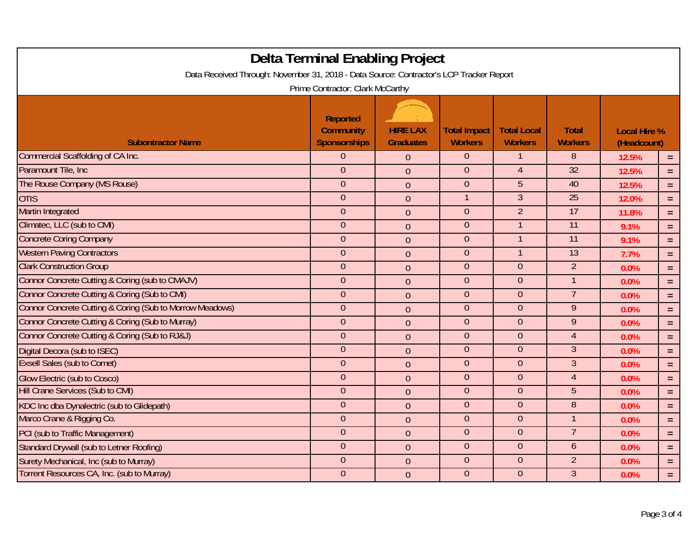| Delta Terminal Enabling Project<br>Data Received Through: November 31, 2018 - Data Source: Contractor's LCP Tracker Report<br>Prime Contractor: Clark McCarthy |                                                            |                                     |                                       |                                      |                                |                                    |          |
|----------------------------------------------------------------------------------------------------------------------------------------------------------------|------------------------------------------------------------|-------------------------------------|---------------------------------------|--------------------------------------|--------------------------------|------------------------------------|----------|
| <b>Subontractor Name</b>                                                                                                                                       | <b>Reported</b><br><b>Community</b><br><b>Sponsorships</b> | <b>HIRE LAX</b><br><b>Graduates</b> | <b>Total Impact</b><br><b>Workers</b> | <b>Total Local</b><br><b>Workers</b> | <b>Total</b><br><b>Workers</b> | <b>Local Hire %</b><br>(Headcount) |          |
| Commercial Scaffolding of CA Inc.                                                                                                                              | $\Omega$                                                   | $\overline{0}$                      | $\overline{0}$                        | -1                                   | 8                              | 12.5%                              | $=$      |
| Paramount Tile, Inc.                                                                                                                                           | $\theta$                                                   | $\overline{0}$                      | $\theta$                              | $\overline{4}$                       | $\overline{32}$                | 12.5%                              | $=$      |
| The Rouse Company (MS Rouse)                                                                                                                                   | $\overline{0}$                                             | $\overline{0}$                      | $\overline{0}$                        | 5                                    | 40                             | 12.5%                              | $\equiv$ |
| <b>OTIS</b>                                                                                                                                                    | $\theta$                                                   | $\mathbf 0$                         | $\mathbf{1}$                          | $\overline{3}$                       | $\overline{25}$                | 12.0%                              | $\equiv$ |
| <b>Martin Integrated</b>                                                                                                                                       | $\theta$                                                   | $\overline{0}$                      | $\theta$                              | $\overline{2}$                       | 17                             | 11.8%                              | $=$      |
| Climatec, LLC (sub to CMI)                                                                                                                                     | $\overline{0}$                                             | $\overline{0}$                      | $\theta$                              | $\mathbf{1}$                         | 11                             | 9.1%                               | $\equiv$ |
| <b>Concrete Coring Company</b>                                                                                                                                 | $\overline{0}$                                             | $\overline{0}$                      | $\theta$                              |                                      | 11                             | 9.1%                               | $\equiv$ |
| <b>Western Paving Contractors</b>                                                                                                                              | $\overline{0}$                                             | $\overline{0}$                      | $\mathbf{0}$                          |                                      | $\overline{13}$                | 7.7%                               | $=$      |
| <b>Clark Construction Group</b>                                                                                                                                | $\overline{0}$                                             | $\overline{0}$                      | $\overline{0}$                        | $\overline{0}$                       | $\overline{2}$                 | 0.0%                               | $=$      |
| Connor Concrete Cutting & Coring (sub to CMAJV)                                                                                                                | $\overline{0}$                                             | $\overline{0}$                      | $\theta$                              | $\theta$                             | 1                              | 0.0%                               | $\equiv$ |
| Connor Concrete Cutting & Coring (Sub to CMI)                                                                                                                  | $\theta$                                                   | $\overline{0}$                      | $\overline{0}$                        | $\overline{0}$                       | $\overline{7}$                 | 0.0%                               | $\equiv$ |
| Connor Concrete Cutting & Coring (Sub to Morrow Meadows)                                                                                                       | $\theta$                                                   | $\overline{0}$                      | $\overline{0}$                        | $\overline{0}$                       | $\overline{9}$                 | 0.0%                               | $\equiv$ |
| Connor Concrete Cutting & Coring (Sub to Murray)                                                                                                               | $\overline{0}$                                             | $\overline{0}$                      | $\theta$                              | $\theta$                             | $\overline{9}$                 | 0.0%                               | $\equiv$ |
| Connor Concrete Cutting & Coring (Sub to RJ&J)                                                                                                                 | $\overline{0}$                                             | $\overline{0}$                      | $\overline{0}$                        | $\overline{0}$                       | $\overline{4}$                 | 0.0%                               | $=$      |
| Digital Decora (sub to ISEC)                                                                                                                                   | $\theta$                                                   | $\overline{0}$                      | $\theta$                              | $\theta$                             | $\mathfrak{Z}$                 | 0.0%                               | $=$      |
| <b>Exsell Sales (sub to Comet)</b>                                                                                                                             | $\theta$                                                   | $\overline{0}$                      | $\theta$                              | $\theta$                             | $\mathfrak{Z}$                 | 0.0%                               | $\equiv$ |
| <b>Glow Electric (sub to Cosco)</b>                                                                                                                            | $\overline{0}$                                             | $\overline{0}$                      | $\overline{0}$                        | $\overline{0}$                       | $\overline{4}$                 | 0.0%                               | $\equiv$ |
| <b>Hill Crane Services (Sub to CMI)</b>                                                                                                                        | $\theta$                                                   | $\overline{0}$                      | $\overline{0}$                        | $\overline{0}$                       | 5                              | 0.0%                               | $\equiv$ |
| KDC Inc dba Dynalectric (sub to Glidepath)                                                                                                                     | $\overline{0}$                                             | $\overline{0}$                      | $\theta$                              | $\theta$                             | $\overline{8}$                 | 0.0%                               | $\equiv$ |
| Marco Crane & Rigging Co.                                                                                                                                      | $\theta$                                                   | $\overline{0}$                      | $\mathbf{0}$                          | $\mathbf{0}$                         | $\overline{1}$                 | 0.0%                               | $\equiv$ |
| PCI (sub to Traffic Management)                                                                                                                                | $\theta$                                                   | $\overline{0}$                      | $\overline{0}$                        | $\theta$                             | 7                              | 0.0%                               | $\equiv$ |
| Standard Drywall (sub to Letner Roofing)                                                                                                                       | $\theta$                                                   | $\overline{0}$                      | $\theta$                              | $\theta$                             | $\ddot{\mathbf{6}}$            | 0.0%                               | $\equiv$ |
| Surety Mechanical, Inc (sub to Murray)                                                                                                                         | $\overline{0}$                                             | $\overline{0}$                      | $\overline{0}$                        | $\overline{0}$                       | $\overline{2}$                 | 0.0%                               | $\equiv$ |
| Torrent Resources CA, Inc. (sub to Murray)                                                                                                                     | $\mathbf{0}$                                               | $\overline{0}$                      | $\overline{0}$                        | $\overline{0}$                       | $\mathfrak{Z}$                 | 0.0%                               | $=$      |